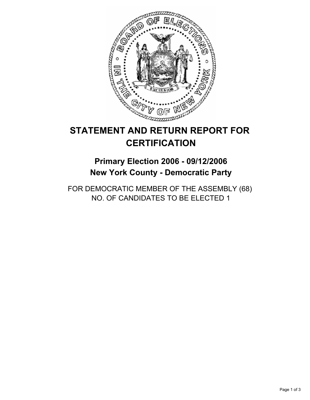

# **STATEMENT AND RETURN REPORT FOR CERTIFICATION**

## **Primary Election 2006 - 09/12/2006 New York County - Democratic Party**

FOR DEMOCRATIC MEMBER OF THE ASSEMBLY (68) NO. OF CANDIDATES TO BE ELECTED 1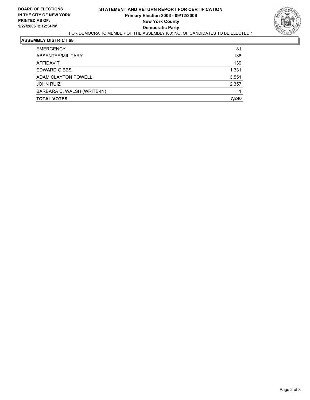

#### **ASSEMBLY DISTRICT 68**

| <b>TOTAL VOTES</b>          | 7,240 |
|-----------------------------|-------|
| BARBARA C. WALSH (WRITE-IN) |       |
| <b>JOHN RUIZ</b>            | 2,357 |
| ADAM CLAYTON POWELL         | 3,551 |
| <b>EDWARD GIBBS</b>         | 1,331 |
| AFFIDAVIT                   | 139   |
| ABSENTEE/MILITARY           | 138   |
| <b>EMERGENCY</b>            | 81    |